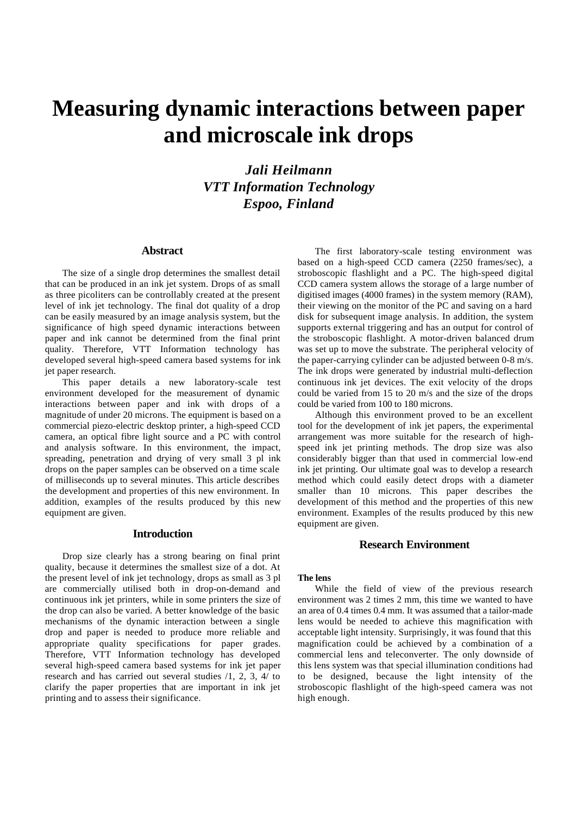# **Measuring dynamic interactions between paper and microscale ink drops**

*Jali Heilmann VTT Information Technology Espoo, Finland*

## **Abstract**

The size of a single drop determines the smallest detail that can be produced in an ink jet system. Drops of as small as three picoliters can be controllably created at the present level of ink jet technology. The final dot quality of a drop can be easily measured by an image analysis system, but the significance of high speed dynamic interactions between paper and ink cannot be determined from the final print quality. Therefore, VTT Information technology has developed several high-speed camera based systems for ink jet paper research.

This paper details a new laboratory-scale test environment developed for the measurement of dynamic interactions between paper and ink with drops of a magnitude of under 20 microns. The equipment is based on a commercial piezo-electric desktop printer, a high-speed CCD camera, an optical fibre light source and a PC with control and analysis software. In this environment, the impact, spreading, penetration and drying of very small 3 pl ink drops on the paper samples can be observed on a time scale of milliseconds up to several minutes. This article describes the development and properties of this new environment. In addition, examples of the results produced by this new equipment are given.

#### **Introduction**

Drop size clearly has a strong bearing on final print quality, because it determines the smallest size of a dot. At the present level of ink jet technology, drops as small as 3 pl are commercially utilised both in drop-on-demand and continuous ink jet printers, while in some printers the size of the drop can also be varied. A better knowledge of the basic mechanisms of the dynamic interaction between a single drop and paper is needed to produce more reliable and appropriate quality specifications for paper grades. Therefore, VTT Information technology has developed several high-speed camera based systems for ink jet paper research and has carried out several studies /1, 2, 3, 4/ to clarify the paper properties that are important in ink jet printing and to assess their significance.

The first laboratory-scale testing environment was based on a high-speed CCD camera (2250 frames/sec), a stroboscopic flashlight and a PC. The high-speed digital CCD camera system allows the storage of a large number of digitised images (4000 frames) in the system memory (RAM), their viewing on the monitor of the PC and saving on a hard disk for subsequent image analysis. In addition, the system supports external triggering and has an output for control of the stroboscopic flashlight. A motor-driven balanced drum was set up to move the substrate. The peripheral velocity of the paper-carrying cylinder can be adjusted between 0-8 m/s. The ink drops were generated by industrial multi-deflection continuous ink jet devices. The exit velocity of the drops could be varied from 15 to 20 m/s and the size of the drops could be varied from 100 to 180 microns.

Although this environment proved to be an excellent tool for the development of ink jet papers, the experimental arrangement was more suitable for the research of highspeed ink jet printing methods. The drop size was also considerably bigger than that used in commercial low-end ink jet printing. Our ultimate goal was to develop a research method which could easily detect drops with a diameter smaller than 10 microns. This paper describes the development of this method and the properties of this new environment. Examples of the results produced by this new equipment are given.

# **Research Environment**

#### **The lens**

While the field of view of the previous research environment was 2 times 2 mm, this time we wanted to have an area of 0.4 times 0.4 mm. It was assumed that a tailor-made lens would be needed to achieve this magnification with acceptable light intensity. Surprisingly, it was found that this magnification could be achieved by a combination of a commercial lens and teleconverter. The only downside of this lens system was that special illumination conditions had to be designed, because the light intensity of the stroboscopic flashlight of the high-speed camera was not high enough.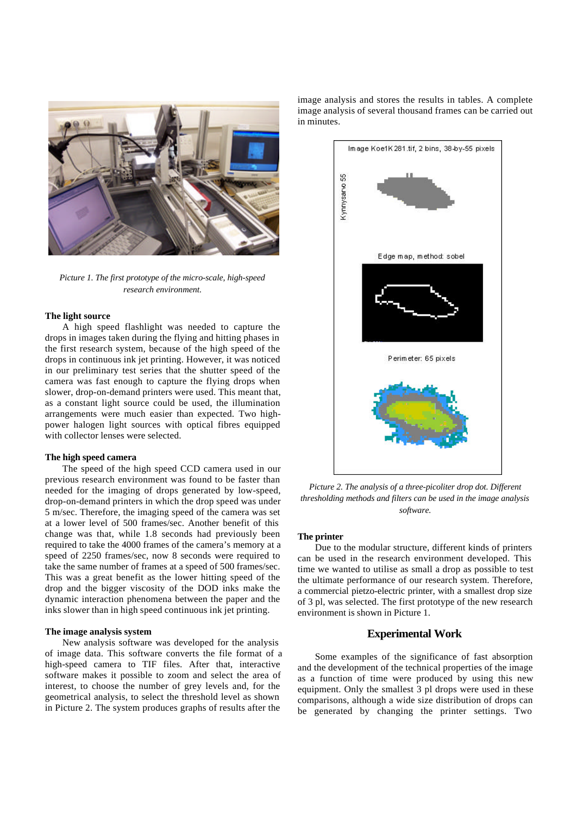

*Picture 1. The first prototype of the micro-scale, high-speed research environment.*

# **The light source**

A high speed flashlight was needed to capture the drops in images taken during the flying and hitting phases in the first research system, because of the high speed of the drops in continuous ink jet printing. However, it was noticed in our preliminary test series that the shutter speed of the camera was fast enough to capture the flying drops when slower, drop-on-demand printers were used. This meant that, as a constant light source could be used, the illumination arrangements were much easier than expected. Two highpower halogen light sources with optical fibres equipped with collector lenses were selected.

#### **The high speed camera**

The speed of the high speed CCD camera used in our previous research environment was found to be faster than needed for the imaging of drops generated by low-speed, drop-on-demand printers in which the drop speed was under 5 m/sec. Therefore, the imaging speed of the camera was set at a lower level of 500 frames/sec. Another benefit of this change was that, while 1.8 seconds had previously been required to take the 4000 frames of the camera's memory at a speed of 2250 frames/sec, now 8 seconds were required to take the same number of frames at a speed of 500 frames/sec. This was a great benefit as the lower hitting speed of the drop and the bigger viscosity of the DOD inks make the dynamic interaction phenomena between the paper and the inks slower than in high speed continuous ink jet printing.

#### **The image analysis system**

New analysis software was developed for the analysis of image data. This software converts the file format of a high-speed camera to TIF files. After that, interactive software makes it possible to zoom and select the area of interest, to choose the number of grey levels and, for the geometrical analysis, to select the threshold level as shown in Picture 2. The system produces graphs of results after the

image analysis and stores the results in tables. A complete image analysis of several thousand frames can be carried out in minutes.



*Picture 2. The analysis of a three-picoliter drop dot. Different thresholding methods and filters can be used in the image analysis software.*

#### **The printer**

Due to the modular structure, different kinds of printers can be used in the research environment developed. This time we wanted to utilise as small a drop as possible to test the ultimate performance of our research system. Therefore, a commercial pietzo-electric printer, with a smallest drop size of 3 pl, was selected. The first prototype of the new research environment is shown in Picture 1.

# **Experimental Work**

Some examples of the significance of fast absorption and the development of the technical properties of the image as a function of time were produced by using this new equipment. Only the smallest 3 pl drops were used in these comparisons, although a wide size distribution of drops can be generated by changing the printer settings. Two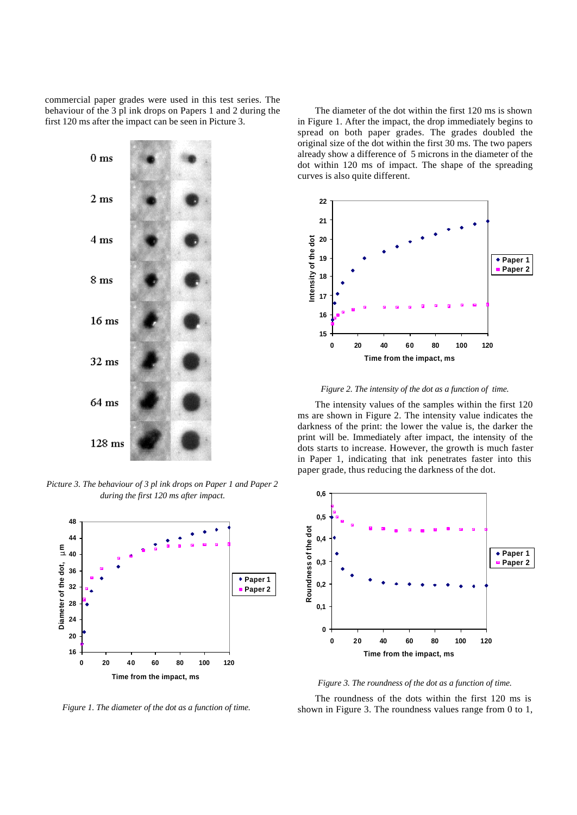commercial paper grades were used in this test series. The behaviour of the 3 pl ink drops on Papers 1 and 2 during the first 120 ms after the impact can be seen in Picture 3.



*Picture 3. The behaviour of 3 pl ink drops on Paper 1 and Paper 2 during the first 120 ms after impact.*



*Figure 1. The diameter of the dot as a function of time.*

The diameter of the dot within the first 120 ms is shown in Figure 1. After the impact, the drop immediately begins to spread on both paper grades. The grades doubled the original size of the dot within the first 30 ms. The two papers already show a difference of 5 microns in the diameter of the dot within 120 ms of impact. The shape of the spreading curves is also quite different.



*Figure 2. The intensity of the dot as a function of time.*

The intensity values of the samples within the first 120 ms are shown in Figure 2. The intensity value indicates the darkness of the print: the lower the value is, the darker the print will be. Immediately after impact, the intensity of the dots starts to increase. However, the growth is much faster in Paper 1, indicating that ink penetrates faster into this paper grade, thus reducing the darkness of the dot.



*Figure 3. The roundness of the dot as a function of time.*

The roundness of the dots within the first 120 ms is shown in Figure 3. The roundness values range from 0 to 1,